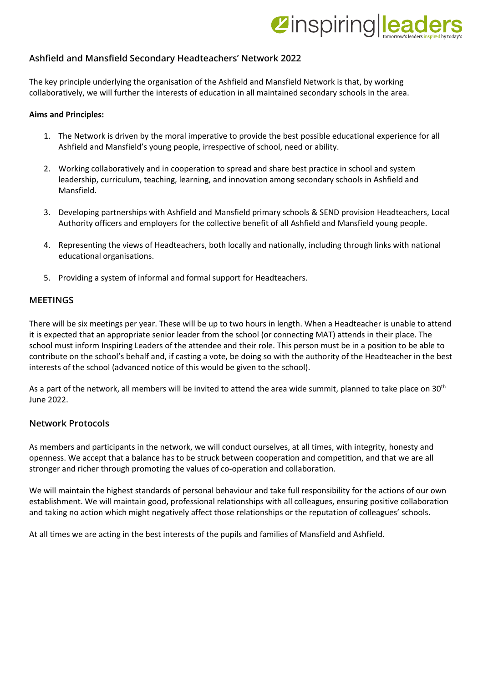# **Zinspiringlea**

## **Ashfield and Mansfield Secondary Headteachers' Network 2022**

The key principle underlying the organisation of the Ashfield and Mansfield Network is that, by working collaboratively, we will further the interests of education in all maintained secondary schools in the area.

#### **Aims and Principles:**

- 1. The Network is driven by the moral imperative to provide the best possible educational experience for all Ashfield and Mansfield's young people, irrespective of school, need or ability.
- 2. Working collaboratively and in cooperation to spread and share best practice in school and system leadership, curriculum, teaching, learning, and innovation among secondary schools in Ashfield and Mansfield.
- 3. Developing partnerships with Ashfield and Mansfield primary schools & SEND provision Headteachers, Local Authority officers and employers for the collective benefit of all Ashfield and Mansfield young people.
- 4. Representing the views of Headteachers, both locally and nationally, including through links with national educational organisations.
- 5. Providing a system of informal and formal support for Headteachers.

### **MEETINGS**

There will be six meetings per year. These will be up to two hours in length. When a Headteacher is unable to attend it is expected that an appropriate senior leader from the school (or connecting MAT) attends in their place. The school must inform Inspiring Leaders of the attendee and their role. This person must be in a position to be able to contribute on the school's behalf and, if casting a vote, be doing so with the authority of the Headteacher in the best interests of the school (advanced notice of this would be given to the school).

As a part of the network, all members will be invited to attend the area wide summit, planned to take place on 30<sup>th</sup> June 2022.

## **Network Protocols**

As members and participants in the network, we will conduct ourselves, at all times, with integrity, honesty and openness. We accept that a balance has to be struck between cooperation and competition, and that we are all stronger and richer through promoting the values of co-operation and collaboration.

We will maintain the highest standards of personal behaviour and take full responsibility for the actions of our own establishment. We will maintain good, professional relationships with all colleagues, ensuring positive collaboration and taking no action which might negatively affect those relationships or the reputation of colleagues' schools.

At all times we are acting in the best interests of the pupils and families of Mansfield and Ashfield.